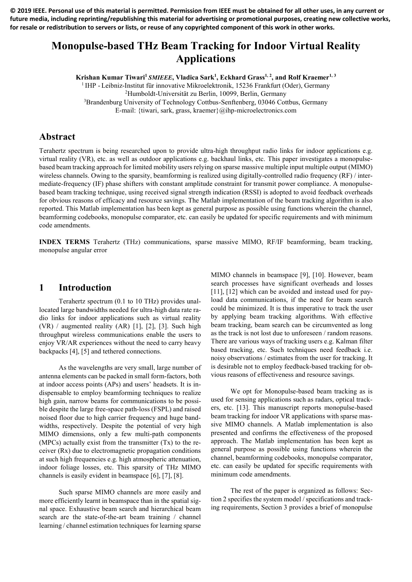**© 2019 IEEE. Personal use of this material is permitted. Permission from IEEE must be obtained for all other uses, in any current or future media, including reprinting/republishing this material for advertising or promotional purposes, creating new collective works, for resale or redistribution to servers or lists, or reuse of any copyrighted component of this work in other works.**

# **Monopulse-based THz Beam Tracking for Indoor Virtual Reality Applications**

**Krishan Kumar Tiwari<sup>1</sup>** *SMIEEE***, Vladica Sark<sup>1</sup> , Eckhard Grass1, 2, and Rolf Kraemer1, 3**

<sup>1</sup> IHP - Leibniz-Institut für innovative Mikroelektronik, 15236 Frankfurt (Oder), Germany <sup>2</sup>Humboldt-Universität zu Berlin, 10099, Berlin, Germany <sup>3</sup>Brandenburg University of Technology Cottbus-Senftenberg, 03046 Cottbus, Germany

E-mail: {tiwari, sark, grass, kraemer}@ihp-microelectronics.com

#### **Abstract**

Terahertz spectrum is being researched upon to provide ultra-high throughput radio links for indoor applications e.g. virtual reality (VR), etc. as well as outdoor applications e.g. backhaul links, etc. This paper investigates a monopulsebased beam tracking approach for limited mobility users relying on sparse massive multiple input multiple output (MIMO) wireless channels. Owing to the sparsity, beamforming is realized using digitally-controlled radio frequency (RF) / intermediate-frequency (IF) phase shifters with constant amplitude constraint for transmit power compliance. A monopulsebased beam tracking technique, using received signal strength indication (RSSI) is adopted to avoid feedback overheads for obvious reasons of efficacy and resource savings. The Matlab implementation of the beam tracking algorithm is also reported. This Matlab implementation has been kept as general purpose as possible using functions wherein the channel, beamforming codebooks, monopulse comparator, etc. can easily be updated for specific requirements and with minimum code amendments.

**INDEX TERMS** Terahertz (THz) communications, sparse massive MIMO, RF/IF beamforming, beam tracking, monopulse angular error

#### **1 Introduction**

Terahertz spectrum (0.1 to 10 THz) provides unallocated large bandwidths needed for ultra-high data rate radio links for indoor applications such as virtual reality (VR) / augmented reality (AR) [1], [2], [3]. Such high throughput wireless communications enable the users to enjoy VR/AR experiences without the need to carry heavy backpacks [4], [5] and tethered connections.

As the wavelengths are very small, large number of antenna elements can be packed in small form-factors, both at indoor access points (APs) and users' headsets. It is indispensable to employ beamforming techniques to realize high gain, narrow beams for communications to be possible despite the large free-space path-loss (FSPL) and raised noised floor due to high carrier frequency and huge bandwidths, respectively. Despite the potential of very high MIMO dimensions, only a few multi-path components (MPCs) actually exist from the transmitter (Tx) to the receiver (Rx) due to electromagnetic propagation conditions at such high frequencies e.g. high atmospheric attenuation, indoor foliage losses, etc. This sparsity of THz MIMO channels is easily evident in beamspace [6], [7], [8].

Such sparse MIMO channels are more easily and more efficiently learnt in beamspace than in the spatial signal space. Exhaustive beam search and hierarchical beam search are the state-of-the-art beam training / channel learning / channel estimation techniques for learning sparse MIMO channels in beamspace [9], [10]. However, beam search processes have significant overheads and losses [11], [12] which can be avoided and instead used for payload data communications, if the need for beam search could be minimized. It is thus imperative to track the user by applying beam tracking algorithms. With effective beam tracking, beam search can be circumvented as long as the track is not lost due to unforeseen / random reasons. There are various ways of tracking users e.g. Kalman filter based tracking, etc. Such techniques need feedback i.e. noisy observations / estimates from the user for tracking. It is desirable not to employ feedback-based tracking for obvious reasons of effectiveness and resource savings.

We opt for Monopulse-based beam tracking as is used for sensing applications such as radars, optical trackers, etc. [13]. This manuscript reports monopulse-based beam tracking for indoor VR applications with sparse massive MIMO channels. A Matlab implementation is also presented and confirms the effectiveness of the proposed approach. The Matlab implementation has been kept as general purpose as possible using functions wherein the channel, beamforming codebooks, monopulse comparator, etc. can easily be updated for specific requirements with minimum code amendments.

The rest of the paper is organized as follows: Section 2 specifies the system model / specifications and tracking requirements, Section 3 provides a brief of monopulse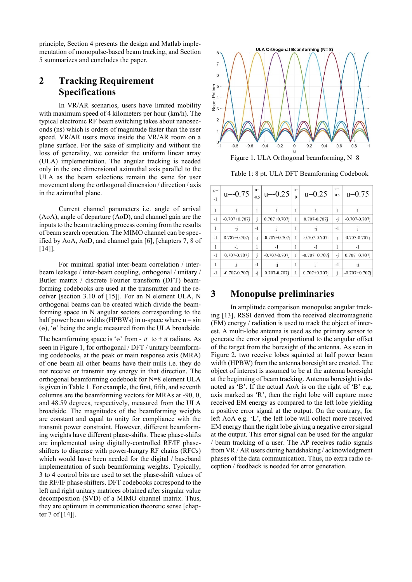principle, Section 4 presents the design and Matlab implementation of monopulse-based beam tracking, and Section 5 summarizes and concludes the paper.

# **2 Tracking Requirement Specifications**

In VR/AR scenarios, users have limited mobility with maximum speed of 4 kilometers per hour (km/h). The typical electronic RF beam switching takes about nanoseconds (ns) which is orders of magnitude faster than the user speed. VR/AR users move inside the VR/AR room on a plane surface. For the sake of simplicity and without the loss of generality, we consider the uniform linear array (ULA) implementation. The angular tracking is needed only in the one dimensional azimuthal axis parallel to the ULA as the beam selections remain the same for user movement along the orthogonal dimension / direction / axis in the azimuthal plane.

Current channel parameters i.e. angle of arrival (AoA), angle of departure (AoD), and channel gain are the inputs to the beam tracking process coming from the results of beam search operation. The MIMO channel can be specified by AoA, AoD, and channel gain [6], [chapters 7, 8 of [14]].

For minimal spatial inter-beam correlation / interbeam leakage / inter-beam coupling, orthogonal / unitary / Butler matrix / discrete Fourier transform (DFT) beamforming codebooks are used at the transmitter and the receiver [section 3.10 of [15]]. For an N element ULA, N orthogonal beams can be created which divide the beamforming space in N angular sectors corresponding to the half power beam widths (HPBWs) in u-space where  $u = \sin$ (ɵ), 'ɵ' being the angle measured from the ULA broadside.

The beamforming space is ' $\theta$ ' from -  $\pi$  to +  $\pi$  radians. As seen in Figure 1, for orthogonal / DFT / unitary beamforming codebooks, at the peak or main response axis (MRA) of one beam all other beams have their nulls i.e. they do not receive or transmit any energy in that direction. The orthogonal beamforming codebook for N=8 element ULA is given in Table 1. For example, the first, fifth, and seventh columns are the beamforming vectors for MRAs at -90, 0, and 48.59 degrees, respectively, measured from the ULA broadside. The magnitudes of the beamforming weights are constant and equal to unity for compliance with the transmit power constraint. However, different beamforming weights have different phase-shifts. These phase-shifts are implemented using digitally-controlled RF/IF phaseshifters to dispense with power-hungry RF chains (RFCs) which would have been needed for the digital / baseband implementation of such beamforming weights. Typically, 3 to 4 control bits are used to set the phase-shift values of the RF/IF phase shifters. DFT codebooks correspond to the left and right unitary matrices obtained after singular value decomposition (SVD) of a MIMO channel matrix. Thus, they are optimum in communication theoretic sense [chapter 7 of [14]].



Figure 1. ULA Orthogonal beamforming, N=8

Table 1: 8 pt. ULA DFT Beamforming Codebook

| $u=$<br>$-1$ | $u=-0.75$          |      | $\int_{-0.5}^{u=}  u=-0.25 $ | u= | $u=0.25$           | $u=$<br>0.5  | $u=0.75$           |
|--------------|--------------------|------|------------------------------|----|--------------------|--------------|--------------------|
|              |                    |      |                              |    |                    |              |                    |
| $-1$         | $-0.707 + 0.707$ j | i    | $0.707 + 0.707$ j            |    | 0.707-0.707j       | -i           | $-0.707 - 0.707$ j |
|              | $-1$               | $-1$ |                              |    |                    | $-1$         |                    |
| $-1$         | $0.707 + 0.707$ j  | -i   | $-0.707 + 0.707$ j           |    | $-0.707 - 0.707$ j | $\mathbf{i}$ | 0.707-0.707i       |
| 1            | $-1$               |      | $-1$                         |    | -1                 |              | -1                 |
| $-1$         | 0.707-0.707j       | Î    | $-0.707 - 0.707i$            |    | $-0.707 + 0.707$ i | -i           | $0.707 + 0.707$ i  |
|              |                    | $-1$ | -1                           |    |                    | $-1$         | -1                 |
| $-1$         | $-0.707 - 0.707$ i | -1   | 0.707-0.707i                 |    | $0.707 + 0.707$ i  | $\mathbf{i}$ | $-0.707 + 0.707$ i |

### **3 Monopulse preliminaries**

In amplitude comparison monopulse angular tracking [13], RSSI derived from the received electromagnetic (EM) energy / radiation is used to track the object of interest. A multi-lobe antenna is used as the primary sensor to generate the error signal proportional to the angular offset of the target from the boresight of the antenna. As seen in Figure 2, two receive lobes squinted at half power beam width (HPBW) from the antenna boresight are created. The object of interest is assumed to be at the antenna boresight at the beginning of beam tracking. Antenna boresight is denoted as 'B'. If the actual AoA is on the right of 'B' e.g. axis marked as 'R', then the right lobe will capture more received EM energy as compared to the left lobe yielding a positive error signal at the output. On the contrary, for left AoA e.g. 'L', the left lobe will collect more received EM energy than the right lobe giving a negative error signal at the output. This error signal can be used for the angular / beam tracking of a user. The AP receives radio signals from VR / AR users during handshaking / acknowledgment phases of the data communication. Thus, no extra radio reception / feedback is needed for error generation.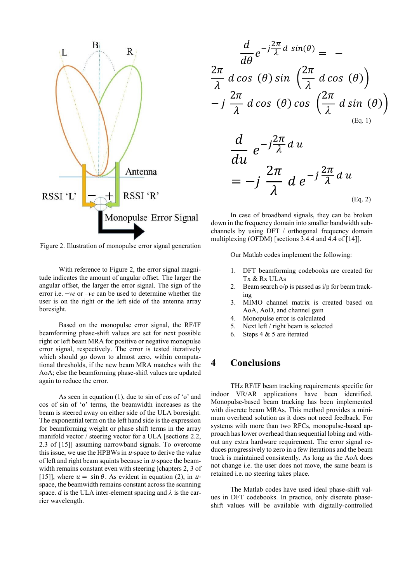

Figure 2. Illustration of monopulse error signal generation

With reference to Figure 2, the error signal magnitude indicates the amount of angular offset. The larger the angular offset, the larger the error signal. The sign of the error i.e. +*ve* or –*ve* can be used to determine whether the user is on the right or the left side of the antenna array boresight.

Based on the monopulse error signal, the RF/IF beamforming phase-shift values are set for next possible right or left beam MRA for positive or negative monopulse error signal, respectively. The error is tested iteratively which should go down to almost zero, within computational thresholds, if the new beam MRA matches with the AoA; else the beamforming phase-shift values are updated again to reduce the error.

As seen in equation  $(1)$ , due to sin of cos of ' $\theta$ ' and cos of sin of 'ɵ' terms, the beamwidth increases as the beam is steered away on either side of the ULA boresight. The exponential term on the left hand side is the expression for beamforming weight or phase shift terms in the array manifold vector / steering vector for a ULA [sections 2.2, 2.3 of [15]] assuming narrowband signals. To overcome this issue, we use the HPBWs in  $u$ -space to derive the value of left and right beam squints because in  $u$ -space the beamwidth remains constant even with steering [chapters 2, 3 of [15]], where  $u = \sin \theta$ . As evident in equation (2), in uspace, the beamwidth remains constant across the scanning space. *d* is the ULA inter-element spacing and  $\lambda$  is the carrier wavelength.

$$
\frac{d}{d\theta}e^{-j\frac{2\pi}{\lambda}d\sin(\theta)} = -
$$
\n
$$
\frac{2\pi}{\lambda}d\cos(\theta)\sin\left(\frac{2\pi}{\lambda}d\cos(\theta)\right)
$$
\n
$$
-j\frac{2\pi}{\lambda}d\cos(\theta)\cos\left(\frac{2\pi}{\lambda}d\sin(\theta)\right)
$$
\n
$$
\frac{d}{du}e^{-j\frac{2\pi}{\lambda}d\theta}u
$$
\n
$$
= -j\frac{2\pi}{\lambda}d\theta e^{-j\frac{2\pi}{\lambda}d\theta}u
$$
\n
$$
= -j\frac{2\pi}{\lambda}d\theta e^{-j\frac{2\pi}{\lambda}d\theta}u
$$
\n(Eq. 2)

In case of broadband signals, they can be broken down in the frequency domain into smaller bandwidth subchannels by using DFT / orthogonal frequency domain multiplexing (OFDM) [sections 3.4.4 and 4.4 of [14]].

Our Matlab codes implement the following:

- 1. DFT beamforming codebooks are created for Tx & Rx ULAs
- 2. Beam search o/p is passed as i/p for beam tracking
- 3. MIMO channel matrix is created based on AoA, AoD, and channel gain
- 4. Monopulse error is calculated
- 5. Next left / right beam is selected
- 6. Steps 4 & 5 are iterated

## **4 Conclusions**

THz RF/IF beam tracking requirements specific for indoor VR/AR applications have been identified. Monopulse-based beam tracking has been implemented with discrete beam MRAs. This method provides a minimum overhead solution as it does not need feedback. For systems with more than two RFCs, monopulse-based approach has lower overhead than sequential lobing and without any extra hardware requirement. The error signal reduces progressively to zero in a few iterations and the beam track is maintained consistently. As long as the AoA does not change i.e. the user does not move, the same beam is retained i.e. no steering takes place.

The Matlab codes have used ideal phase-shift values in DFT codebooks. In practice, only discrete phaseshift values will be available with digitally-controlled